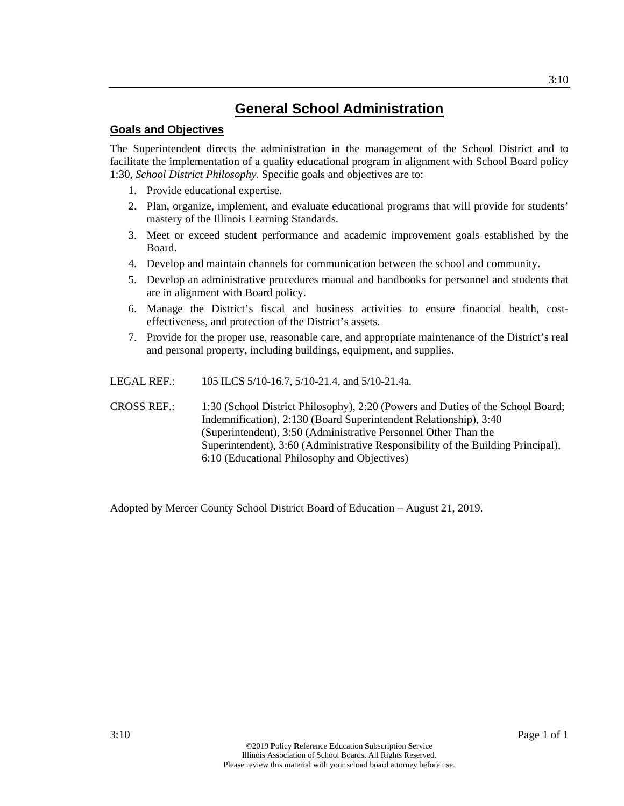## **Goals and Objectives**

The Superintendent directs the administration in the management of the School District and to facilitate the implementation of a quality educational program in alignment with School Board policy 1:30, *School District Philosophy*. Specific goals and objectives are to:

- 1. Provide educational expertise.
- 2. Plan, organize, implement, and evaluate educational programs that will provide for students' mastery of the Illinois Learning Standards.
- 3. Meet or exceed student performance and academic improvement goals established by the Board.
- 4. Develop and maintain channels for communication between the school and community.
- 5. Develop an administrative procedures manual and handbooks for personnel and students that are in alignment with Board policy.
- 6. Manage the District's fiscal and business activities to ensure financial health, costeffectiveness, and protection of the District's assets.
- 7. Provide for the proper use, reasonable care, and appropriate maintenance of the District's real and personal property, including buildings, equipment, and supplies.
- LEGAL REF.: 105 ILCS 5/10-16.7, 5/10-21.4, and 5/10-21.4a.
- CROSS REF.: 1:30 (School District Philosophy), 2:20 (Powers and Duties of the School Board; Indemnification), 2:130 (Board Superintendent Relationship), 3:40 (Superintendent), 3:50 (Administrative Personnel Other Than the Superintendent), 3:60 (Administrative Responsibility of the Building Principal), 6:10 (Educational Philosophy and Objectives)

Adopted by Mercer County School District Board of Education – August 21, 2019.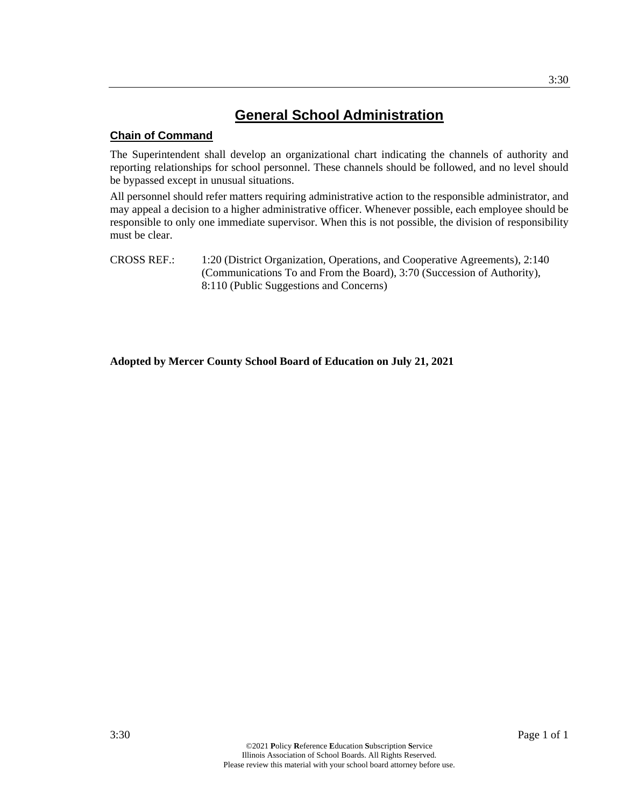## **Chain of Command**

The Superintendent shall develop an organizational chart indicating the channels of authority and reporting relationships for school personnel. These channels should be followed, and no level should be bypassed except in unusual situations.

All personnel should refer matters requiring administrative action to the responsible administrator, and may appeal a decision to a higher administrative officer. Whenever possible, each employee should be responsible to only one immediate supervisor. When this is not possible, the division of responsibility must be clear.

CROSS REF.: 1:20 (District Organization, Operations, and Cooperative Agreements), 2:140 (Communications To and From the Board), 3:70 (Succession of Authority), 8:110 (Public Suggestions and Concerns)

**Adopted by Mercer County School Board of Education on July 21, 2021**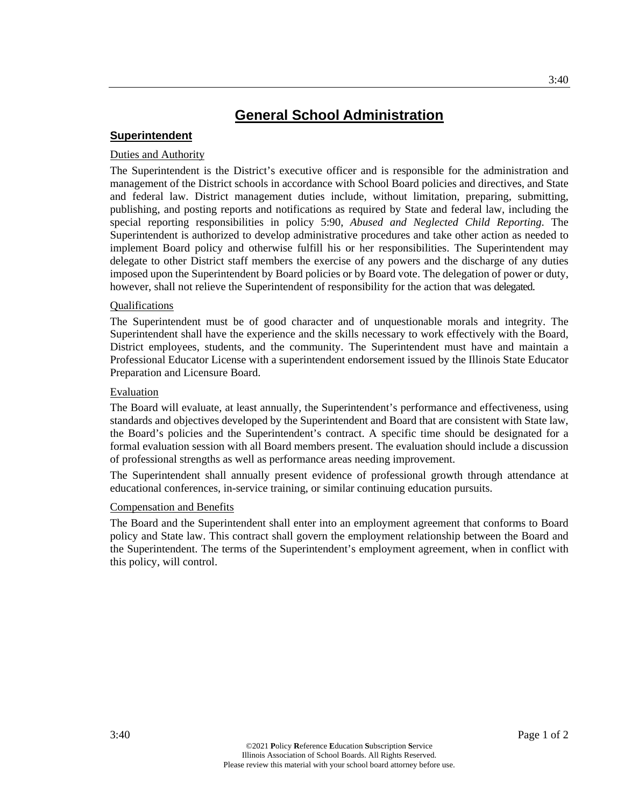### **Superintendent**

### Duties and Authority

The Superintendent is the District's executive officer and is responsible for the administration and management of the District schools in accordance with School Board policies and directives, and State and federal law. District management duties include, without limitation, preparing, submitting, publishing, and posting reports and notifications as required by State and federal law, including the special reporting responsibilities in policy 5:90, *Abused and Neglected Child Reporting*. The Superintendent is authorized to develop administrative procedures and take other action as needed to implement Board policy and otherwise fulfill his or her responsibilities. The Superintendent may delegate to other District staff members the exercise of any powers and the discharge of any duties imposed upon the Superintendent by Board policies or by Board vote. The delegation of power or duty, however, shall not relieve the Superintendent of responsibility for the action that was delegated.

### Qualifications

The Superintendent must be of good character and of unquestionable morals and integrity. The Superintendent shall have the experience and the skills necessary to work effectively with the Board, District employees, students, and the community. The Superintendent must have and maintain a Professional Educator License with a superintendent endorsement issued by the Illinois State Educator Preparation and Licensure Board.

### Evaluation

The Board will evaluate, at least annually, the Superintendent's performance and effectiveness, using standards and objectives developed by the Superintendent and Board that are consistent with State law, the Board's policies and the Superintendent's contract. A specific time should be designated for a formal evaluation session with all Board members present. The evaluation should include a discussion of professional strengths as well as performance areas needing improvement.

The Superintendent shall annually present evidence of professional growth through attendance at educational conferences, in-service training, or similar continuing education pursuits.

### Compensation and Benefits

The Board and the Superintendent shall enter into an employment agreement that conforms to Board policy and State law. This contract shall govern the employment relationship between the Board and the Superintendent. The terms of the Superintendent's employment agreement, when in conflict with this policy, will control.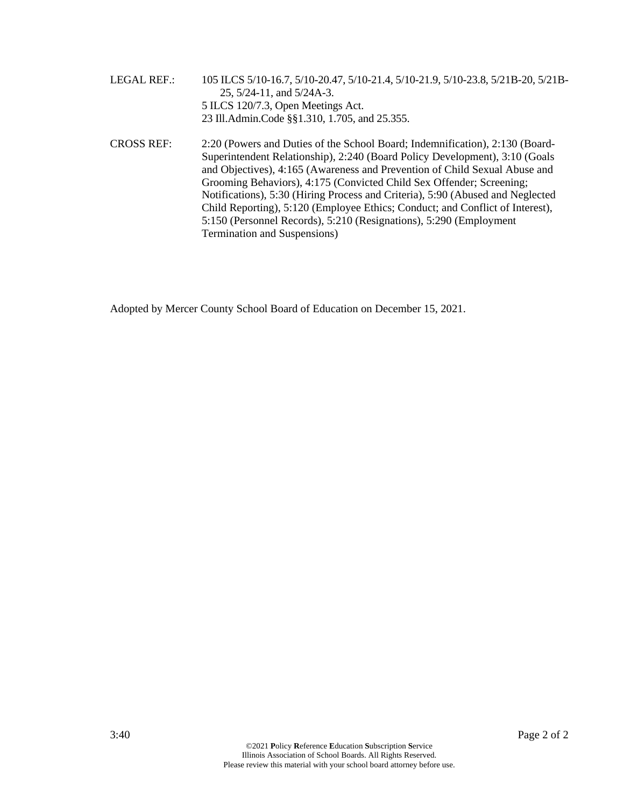- LEGAL REF.: 105 ILCS 5/10-16.7, 5/10-20.47, 5/10-21.4, 5/10-21.9, 5/10-23.8, 5/21B-20, 5/21B-25, 5/24-11, and 5/24A-3. 5 ILCS 120/7.3, Open Meetings Act. 23 Ill.Admin.Code §§1.310, 1.705, and 25.355.
- CROSS REF: 2:20 (Powers and Duties of the School Board; Indemnification), 2:130 (Board-Superintendent Relationship), 2:240 (Board Policy Development), 3:10 (Goals and Objectives), 4:165 (Awareness and Prevention of Child Sexual Abuse and Grooming Behaviors), 4:175 (Convicted Child Sex Offender; Screening; Notifications), 5:30 (Hiring Process and Criteria), 5:90 (Abused and Neglected Child Reporting), 5:120 (Employee Ethics; Conduct; and Conflict of Interest), 5:150 (Personnel Records), 5:210 (Resignations), 5:290 (Employment Termination and Suspensions)

Adopted by Mercer County School Board of Education on December 15, 2021.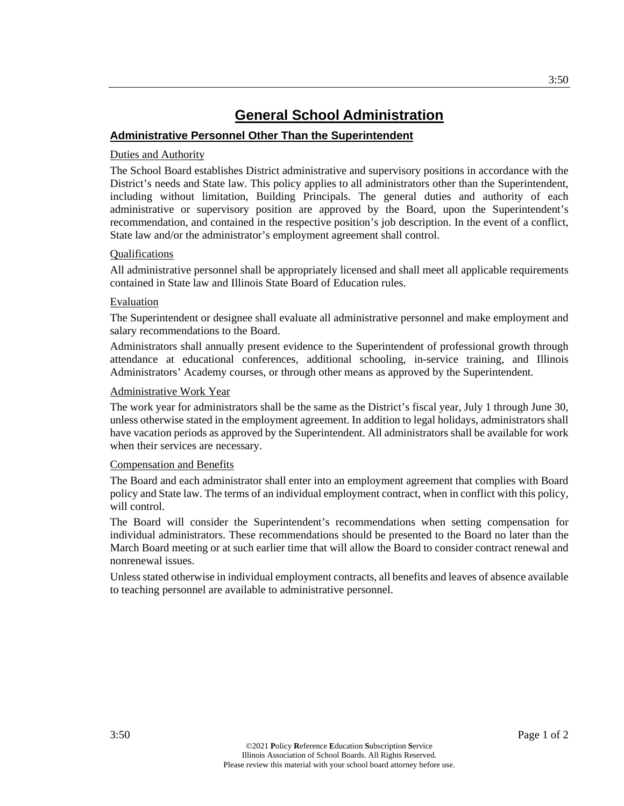## **Administrative Personnel Other Than the Superintendent**

### Duties and Authority

The School Board establishes District administrative and supervisory positions in accordance with the District's needs and State law. This policy applies to all administrators other than the Superintendent, including without limitation, Building Principals. The general duties and authority of each administrative or supervisory position are approved by the Board, upon the Superintendent's recommendation, and contained in the respective position's job description. In the event of a conflict, State law and/or the administrator's employment agreement shall control.

### Qualifications

All administrative personnel shall be appropriately licensed and shall meet all applicable requirements contained in State law and Illinois State Board of Education rules.

### **Evaluation**

The Superintendent or designee shall evaluate all administrative personnel and make employment and salary recommendations to the Board.

Administrators shall annually present evidence to the Superintendent of professional growth through attendance at educational conferences, additional schooling, in-service training, and Illinois Administrators' Academy courses, or through other means as approved by the Superintendent.

### Administrative Work Year

The work year for administrators shall be the same as the District's fiscal year, July 1 through June 30, unless otherwise stated in the employment agreement. In addition to legal holidays, administrators shall have vacation periods as approved by the Superintendent. All administrators shall be available for work when their services are necessary.

### Compensation and Benefits

The Board and each administrator shall enter into an employment agreement that complies with Board policy and State law. The terms of an individual employment contract, when in conflict with this policy, will control.

The Board will consider the Superintendent's recommendations when setting compensation for individual administrators. These recommendations should be presented to the Board no later than the March Board meeting or at such earlier time that will allow the Board to consider contract renewal and nonrenewal issues.

Unless stated otherwise in individual employment contracts, all benefits and leaves of absence available to teaching personnel are available to administrative personnel.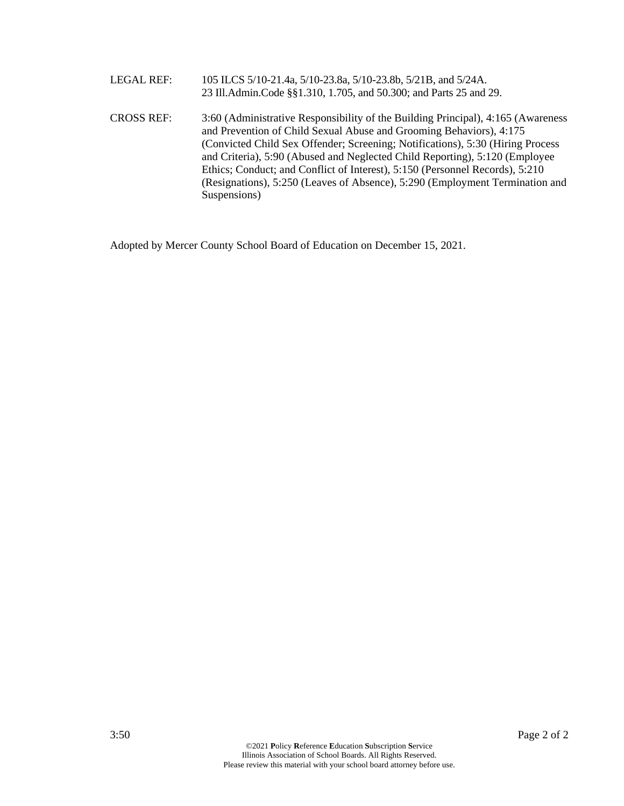LEGAL REF: 105 ILCS 5/10-21.4a, 5/10-23.8a, 5/10-23.8b, 5/21B, and 5/24A. 23 Ill.Admin.Code §§1.310, 1.705, and 50.300; and Parts 25 and 29. CROSS REF: 3:60 (Administrative Responsibility of the Building Principal), 4:165 (Awareness and Prevention of Child Sexual Abuse and Grooming Behaviors), 4:175 (Convicted Child Sex Offender; Screening; Notifications), 5:30 (Hiring Process and Criteria), 5:90 (Abused and Neglected Child Reporting), 5:120 (Employee Ethics; Conduct; and Conflict of Interest), 5:150 (Personnel Records), 5:210 (Resignations), 5:250 (Leaves of Absence), 5:290 (Employment Termination and Suspensions)

Adopted by Mercer County School Board of Education on December 15, 2021.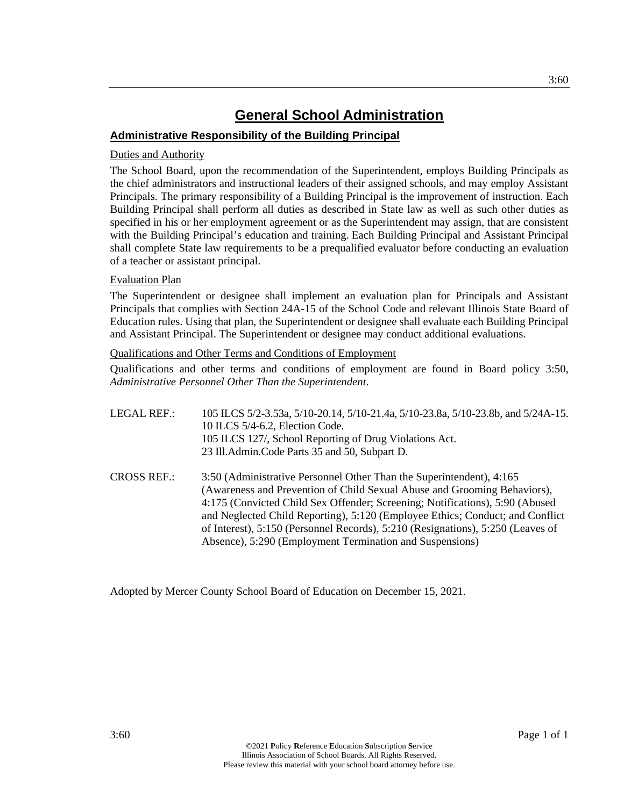## **Administrative Responsibility of the Building Principal**

## Duties and Authority

The School Board, upon the recommendation of the Superintendent, employs Building Principals as the chief administrators and instructional leaders of their assigned schools, and may employ Assistant Principals. The primary responsibility of a Building Principal is the improvement of instruction. Each Building Principal shall perform all duties as described in State law as well as such other duties as specified in his or her employment agreement or as the Superintendent may assign, that are consistent with the Building Principal's education and training. Each Building Principal and Assistant Principal shall complete State law requirements to be a prequalified evaluator before conducting an evaluation of a teacher or assistant principal.

## Evaluation Plan

The Superintendent or designee shall implement an evaluation plan for Principals and Assistant Principals that complies with Section 24A-15 of the School Code and relevant Illinois State Board of Education rules. Using that plan, the Superintendent or designee shall evaluate each Building Principal and Assistant Principal. The Superintendent or designee may conduct additional evaluations.

Qualifications and Other Terms and Conditions of Employment

Qualifications and other terms and conditions of employment are found in Board policy 3:50, *Administrative Personnel Other Than the Superintendent*.

| LEGAL REF.:        | 105 ILCS 5/2-3.53a, 5/10-20.14, 5/10-21.4a, 5/10-23.8a, 5/10-23.8b, and 5/24A-15.<br>10 ILCS 5/4-6.2, Election Code.<br>105 ILCS 127/, School Reporting of Drug Violations Act.<br>23 Ill.Admin.Code Parts 35 and 50, Subpart D.                                                                                                                                                                     |
|--------------------|------------------------------------------------------------------------------------------------------------------------------------------------------------------------------------------------------------------------------------------------------------------------------------------------------------------------------------------------------------------------------------------------------|
| <b>CROSS REF.:</b> | 3:50 (Administrative Personnel Other Than the Superintendent), 4:165<br>(Awareness and Prevention of Child Sexual Abuse and Grooming Behaviors),<br>4:175 (Convicted Child Sex Offender; Screening; Notifications), 5:90 (Abused<br>and Neglected Child Reporting), 5:120 (Employee Ethics; Conduct; and Conflict<br>of Interest), 5:150 (Personnel Records), 5:210 (Resignations), 5:250 (Leaves of |

Absence), 5:290 (Employment Termination and Suspensions)

Adopted by Mercer County School Board of Education on December 15, 2021.